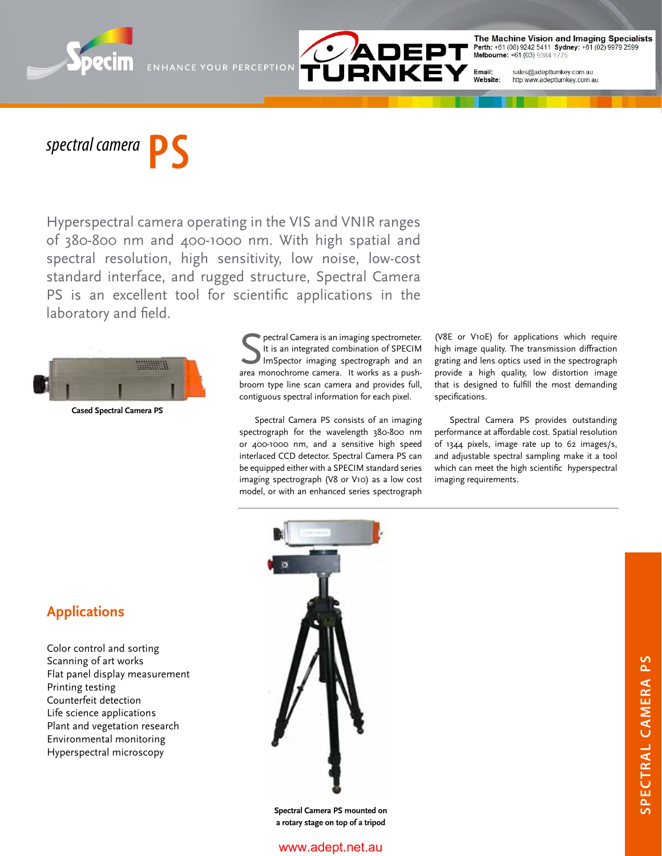

The Machine Vision and Imaging Specialists<br>Perth: +61 (08) 9242 5411 Sydney: +61 (02) 9979 2599<br>Melbourne: +61 (03) 9384 1775

sales@adeptturnkey.com.au http:www.adeptturnkey.com.au

Email:

 $spectral$  *camera* 

Hyperspectral camera operating in the VIS and VNIR ranges of 380-800 nm and 400-1000 nm. With high spatial and spectral resolution, high sensitivity, low noise, low-cost standard interface, and rugged structure, Spectral Camera PS is an excellent tool for scientific applications in the laboratory and field.

**ENHANCE YOUR PERCEPTION** 



**Cased Spectral Camera PS**

**S** pectral Camera is an imaging spectrometer.<br>It is an integrated combination of SPECIM<br>ImSpector imaging spectrograph and an<br>area monochrome camera. It works as a pushpectral Camera is an imaging spectrometer. It is an integrated combination of SPECIM ImSpector imaging spectrograph and an broom type line scan camera and provides full, contiguous spectral information for each pixel.

Spectral Camera PS consists of an imaging spectrograph for the wavelength 380-800 nm or 400-1000 nm, and a sensitive high speed interlaced CCD detector. Spectral Camera PS can be equipped either with a SPECIM standard series imaging spectrograph (V8 or V10) as a low cost model, or with an enhanced series spectrograph

(V8E or V10E) for applications which require high image quality. The transmission diffraction grating and lens optics used in the spectrograph provide a high quality, low distortion image that is designed to fulfill the most demanding specifications.

Spectral Camera PS provides outstanding performance at affordable cost. Spatial resolution of 1344 pixels, image rate up to 62 images/s, and adjustable spectral sampling make it a tool which can meet the high scientific hyperspectral imaging requirements.

## **Applications**

Color control and sorting Scanning of art works Flat panel display measurement Printing testing Counterfeit detection Life science applications Plant and vegetation research Environmental monitoring Hyperspectral microscopy



**Spectral Camera PS mounted on a rotary stage on top of a tripod**